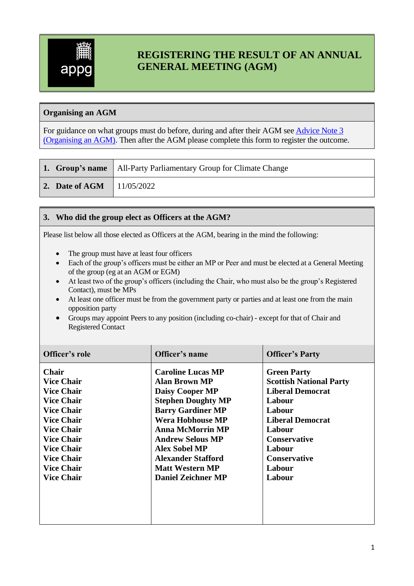

# **REGISTERING THE RESULT OF AN ANNUAL GENERAL MEETING (AGM)**

## **Organising an AGM**

For guidance on what groups must do before, during and after their AGM see [Advice Note 3](http://www.parliament.uk/documents/pcfs/all-party-groups/advice-notes/advice-note-3.pdf)  [\(Organising](http://www.parliament.uk/documents/pcfs/all-party-groups/advice-notes/advice-note-3.pdf) an AGM). Then after the AGM please complete this form to register the outcome.

|                                   | <b>1. Group's name</b>   All-Party Parliamentary Group for Climate Change |  |
|-----------------------------------|---------------------------------------------------------------------------|--|
| 2. Date of AGM $\vert$ 11/05/2022 |                                                                           |  |

## **3. Who did the group elect as Officers at the AGM?**

Please list below all those elected as Officers at the AGM, bearing in the mind the following:

- The group must have at least four officers
- Each of the group's officers must be either an MP or Peer and must be elected at a General Meeting of the group (eg at an AGM or EGM)
- At least two of the group's officers (including the Chair, who must also be the group's Registered Contact), must be MPs
- At least one officer must be from the government party or parties and at least one from the main opposition party
- Groups may appoint Peers to any position (including co-chair) except for that of Chair and Registered Contact

| Officer's role                                                                                                                                                                                                                                      | Officer's name                                                                                                                                                                                                                                                                                                                   | <b>Officer's Party</b>                                                                                                                                                                                               |
|-----------------------------------------------------------------------------------------------------------------------------------------------------------------------------------------------------------------------------------------------------|----------------------------------------------------------------------------------------------------------------------------------------------------------------------------------------------------------------------------------------------------------------------------------------------------------------------------------|----------------------------------------------------------------------------------------------------------------------------------------------------------------------------------------------------------------------|
| <b>Chair</b><br><b>Vice Chair</b><br><b>Vice Chair</b><br><b>Vice Chair</b><br><b>Vice Chair</b><br><b>Vice Chair</b><br><b>Vice Chair</b><br><b>Vice Chair</b><br><b>Vice Chair</b><br><b>Vice Chair</b><br><b>Vice Chair</b><br><b>Vice Chair</b> | <b>Caroline Lucas MP</b><br><b>Alan Brown MP</b><br><b>Daisy Cooper MP</b><br><b>Stephen Doughty MP</b><br><b>Barry Gardiner MP</b><br><b>Wera Hobhouse MP</b><br><b>Anna McMorrin MP</b><br><b>Andrew Selous MP</b><br><b>Alex Sobel MP</b><br><b>Alexander Stafford</b><br><b>Matt Western MP</b><br><b>Daniel Zeichner MP</b> | <b>Green Party</b><br><b>Scottish National Party</b><br><b>Liberal Democrat</b><br>Labour<br>Labour<br><b>Liberal Democrat</b><br>Labour<br><b>Conservative</b><br>Labour<br><b>Conservative</b><br>Labour<br>Labour |
|                                                                                                                                                                                                                                                     |                                                                                                                                                                                                                                                                                                                                  |                                                                                                                                                                                                                      |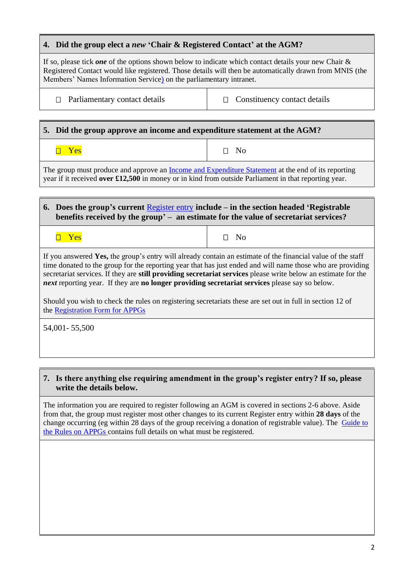## **4. Did the group elect a** *new* **'Chair & Registered Contact' at the AGM?**

If so, please tick *one* of the options shown below to indicate which contact details your new Chair & Registered Contact would like registered. Those details will then be automatically drawn from MNIS (the Members' Names Information Service) on the parliamentary intranet.

 $\Box$  Parliamentary contact details  $\Box$  Constituency contact details

## **5. Did the group approve an income and expenditure statement at the AGM?**

 $\neg$  Yes  $\neg$  Yes  $\neg$  No

The group must produce and approve an [Income and Expenditure Statement](https://www.parliament.uk/globalassets/documents/pcfs/all-party-groupsx/income-and-expenditure-statement.docx) at the end of its reporting year if it received **over £12,500** in money or in kind from outside Parliament in that reporting year.

#### **6. Does the group's current** [Register entry](http://www.parliament.uk/mps-lords-and-offices/standards-and-financial-interests/parliamentary-commissioner-for-standards/registers-of-interests/register-of-all-party-party-parliamentary-groups/) **include – in the section headed 'Registrable benefits received by the group' – an estimate for the value of secretariat services?**

 $\Box$  Yes  $\Box$  Yes

If you answered **Yes,** the group's entry will already contain an estimate of the financial value of the staff time donated to the group for the reporting year that has just ended and will name those who are providing secretariat services. If they are **still providing secretariat services** please write below an estimate for the *next* reporting year.If they are **no longer providing secretariat services** please say so below.

Should you wish to check the rules on registering secretariats these are set out in full in section 12 of the [Registration Form for APPGs](https://www.parliament.uk/globalassets/documents/pcfs/all-party-groupsx/registration-form-for-appgs.docx)

54,001- 55,500

#### **7. Is there anything else requiring amendment in the group's register entry? If so, please write the details below.**

The information you are required to register following an AGM is covered in sections 2-6 above. Aside from that, the group must register most other changes to its current Register entry within **28 days** of the change occurring (eg within 28 days of the group receiving a donation of registrable value). The [Guide to](https://www.parliament.uk/documents/pcfs/all-party-groups/guide-to-the-rules-on-appgs.pdf)  [the Rules on APPGs](https://www.parliament.uk/documents/pcfs/all-party-groups/guide-to-the-rules-on-appgs.pdf) contains full details on what must be registered.